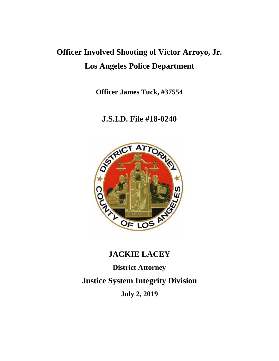# **Officer Involved Shooting of Victor Arroyo, Jr. Los Angeles Police Department**

**Officer James Tuck, #37554**

# **J.S.I.D. File #18-0240**



# **JACKIE LACEY**

**District Attorney Justice System Integrity Division July 2, 2019**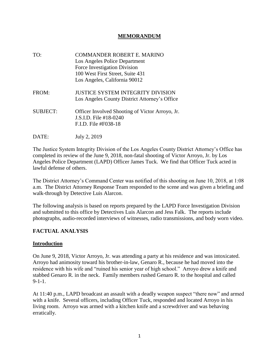#### **MEMORANDUM**

- TO: COMMANDER ROBERT E. MARINO Los Angeles Police Department Force Investigation Division 100 West First Street, Suite 431 Los Angeles, California 90012 FROM: **JUSTICE SYSTEM INTEGRITY DIVISION**  Los Angeles County District Attorney's Office SUBJECT: Officer Involved Shooting of Victor Arroyo, Jr. J.S.I.D. File #18-0240 F.I.D. File #F038-18
- DATE: July 2, 2019

The Justice System Integrity Division of the Los Angeles County District Attorney's Office has completed its review of the June 9, 2018, non-fatal shooting of Victor Arroyo, Jr. by Los Angeles Police Department (LAPD) Officer James Tuck. We find that Officer Tuck acted in lawful defense of others.

The District Attorney's Command Center was notified of this shooting on June 10, 2018, at 1:08 a.m. The District Attorney Response Team responded to the scene and was given a briefing and walk-through by Detective Luis Alarcon.

The following analysis is based on reports prepared by the LAPD Force Investigation Division and submitted to this office by Detectives Luis Alarcon and Jess Falk. The reports include photographs, audio-recorded interviews of witnesses, radio transmissions, and body worn video.

## **FACTUAL ANALYSIS**

#### **Introduction**

On June 9, 2018, Victor Arroyo, Jr. was attending a party at his residence and was intoxicated. Arroyo had animosity toward his brother-in-law, Genaro R., because he had moved into the residence with his wife and "ruined his senior year of high school." Arroyo drew a knife and stabbed Genaro R. in the neck. Family members rushed Genaro R. to the hospital and called 9-1-1.

At 11:40 p.m., LAPD broadcast an assault with a deadly weapon suspect "there now" and armed with a knife. Several officers, including Officer Tuck, responded and located Arroyo in his living room. Arroyo was armed with a kitchen knife and a screwdriver and was behaving erratically.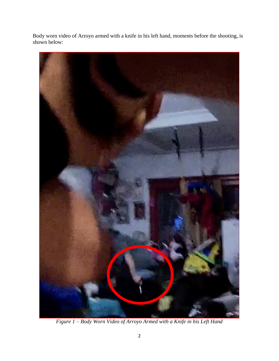Body worn video of Arroyo armed with a knife in his left hand, moments before the shooting, is shown below:



*Figure 1 – Body Worn Video of Arroyo Armed with a Knife in his Left Hand*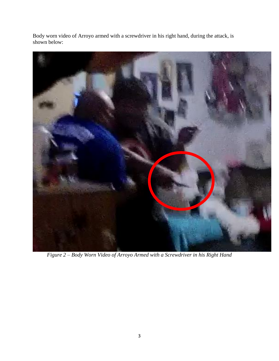Body worn video of Arroyo armed with a screwdriver in his right hand, during the attack, is shown below:



*Figure 2 – Body Worn Video of Arroyo Armed with a Screwdriver in his Right Hand*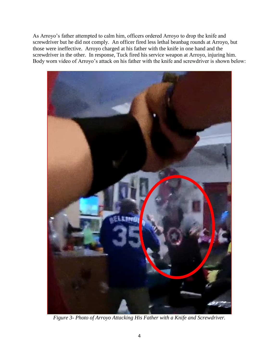As Arroyo's father attempted to calm him, officers ordered Arroyo to drop the knife and screwdriver but he did not comply. An officer fired less lethal beanbag rounds at Arroyo, but those were ineffective. Arroyo charged at his father with the knife in one hand and the screwdriver in the other. In response, Tuck fired his service weapon at Arroyo, injuring him. Body worn video of Arroyo's attack on his father with the knife and screwdriver is shown below:



*Figure 3- Photo of Arroyo Attacking His Father with a Knife and Screwdriver.*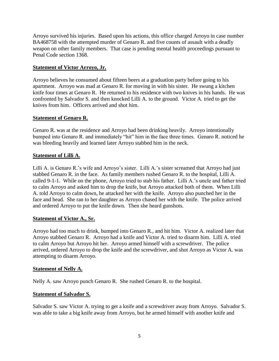Arroyo survived his injuries. Based upon his actions, this office charged Arroyo in case number BA468758 with the attempted murder of Genaro R. and five counts of assault with a deadly weapon on other family members. That case is pending mental health proceedings pursuant to Penal Code section 1368.

## **Statement of Victor Arroyo, Jr.**

Arroyo believes he consumed about fifteen beers at a graduation party before going to his apartment. Arroyo was mad at Genaro R. for moving in with his sister. He swung a kitchen knife four times at Genaro R. He returned to his residence with two knives in his hands. He was confronted by Salvador S. and then knocked Lilli A. to the ground. Victor A. tried to get the knives from him. Officers arrived and shot him.

## **Statement of Genaro R.**

Genaro R. was at the residence and Arroyo had been drinking heavily. Arroyo intentionally bumped into Genaro R. and immediately "hit" him in the face three times. Genaro R. noticed he was bleeding heavily and learned later Arroyo stabbed him in the neck.

## **Statement of Lilli A.**

Lilli A. is Genaro R.'s wife and Arroyo's sister. Lilli A.'s sister screamed that Arroyo had just stabbed Genaro R. in the face. As family members rushed Genaro R. to the hospital, Lilli A. called 9-1-1. While on the phone, Arroyo tried to stab his father. Lilli A.'s uncle and father tried to calm Arroyo and asked him to drop the knife, but Arroyo attacked both of them. When Lilli A. told Arroyo to calm down, he attacked her with the knife. Arroyo also punched her in the face and head. She ran to her daughter as Arroyo chased her with the knife. The police arrived and ordered Arroyo to put the knife down. Then she heard gunshots.

## **Statement of Victor A., Sr.**

Arroyo had too much to drink, bumped into Genaro R., and hit him. Victor A. realized later that Arroyo stabbed Genaro R. Arroyo had a knife and Victor A. tried to disarm him. Lilli A. tried to calm Arroyo but Arroyo hit her. Arroyo armed himself with a screwdriver. The police arrived, ordered Arroyo to drop the knife and the screwdriver, and shot Arroyo as Victor A. was attempting to disarm Arroyo.

## **Statement of Nelly A.**

Nelly A. saw Arroyo punch Genaro R. She rushed Genaro R. to the hospital.

## **Statement of Salvador S.**

Salvador S. saw Victor A. trying to get a knife and a screwdriver away from Arroyo. Salvador S. was able to take a big knife away from Arroyo, but he armed himself with another knife and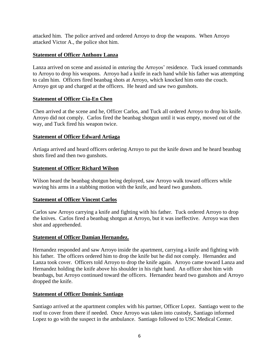attacked him. The police arrived and ordered Arroyo to drop the weapons. When Arroyo attacked Victor A., the police shot him.

#### **Statement of Officer Anthony Lanza**

Lanza arrived on scene and assisted in entering the Arroyos' residence. Tuck issued commands to Arroyo to drop his weapons. Arroyo had a knife in each hand while his father was attempting to calm him. Officers fired beanbag shots at Arroyo, which knocked him onto the couch. Arroyo got up and charged at the officers. He heard and saw two gunshots.

#### **Statement of Officer Cia-En Chen**

Chen arrived at the scene and he, Officer Carlos, and Tuck all ordered Arroyo to drop his knife. Arroyo did not comply. Carlos fired the beanbag shotgun until it was empty, moved out of the way, and Tuck fired his weapon twice.

#### **Statement of Officer Edward Artiaga**

Artiaga arrived and heard officers ordering Arroyo to put the knife down and he heard beanbag shots fired and then two gunshots.

#### **Statement of Officer Richard Wilson**

Wilson heard the beanbag shotgun being deployed, saw Arroyo walk toward officers while waving his arms in a stabbing motion with the knife, and heard two gunshots.

#### **Statement of Officer Vincent Carlos**

Carlos saw Arroyo carrying a knife and fighting with his father. Tuck ordered Arroyo to drop the knives. Carlos fired a beanbag shotgun at Arroyo, but it was ineffective. Arroyo was then shot and apprehended.

#### **Statement of Officer Damian Hernandez.**

Hernandez responded and saw Arroyo inside the apartment, carrying a knife and fighting with his father. The officers ordered him to drop the knife but he did not comply. Hernandez and Lanza took cover. Officers told Arroyo to drop the knife again. Arroyo came toward Lanza and Hernandez holding the knife above his shoulder in his right hand. An officer shot him with beanbags, but Arroyo continued toward the officers. Hernandez heard two gunshots and Arroyo dropped the knife.

#### **Statement of Officer Dominic Santiago**

Santiago arrived at the apartment complex with his partner, Officer Lopez. Santiago went to the roof to cover from there if needed. Once Arroyo was taken into custody, Santiago informed Lopez to go with the suspect in the ambulance. Santiago followed to USC Medical Center.